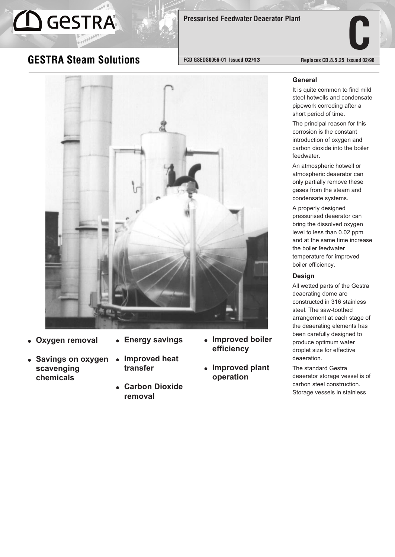# **GESTRA**

# **C Pressurised Feedwater Deaerator Plant**

### **GESTRA Steam Solutions**

**FCD GSEDS0056-01 Issued** 02/13 **Replaces CD.8.5.25 Issued 02/98**



- ! **Oxygen removal**
- ! **Energy savings**
- ! **Savings on oxygen scavenging chemicals**
- ! **Improved heat transfer**
	- ! **Carbon Dioxide removal**
- ! **Improved boiler efficiency**
- ! **Improved plant operation**

#### **General**

It is quite common to find mild steel hotwells and condensate pipework corroding after a short period of time.

The principal reason for this corrosion is the constant introduction of oxygen and carbon dioxide into the boiler feedwater.

An atmospheric hotwell or atmospheric deaerator can only partially remove these gases from the steam and condensate systems.

A properly designed pressurised deaerator can bring the dissolved oxygen level to less than 0.02 ppm and at the same time increase the boiler feedwater temperature for improved boiler efficiency.

#### **Design**

All wetted parts of the Gestra deaerating dome are constructed in 316 stainless steel. The saw-toothed arrangement at each stage of the deaerating elements has been carefully designed to produce optimum water droplet size for effective deaeration.

The standard Gestra deaerator storage vessel is of carbon steel construction. Storage vessels in stainless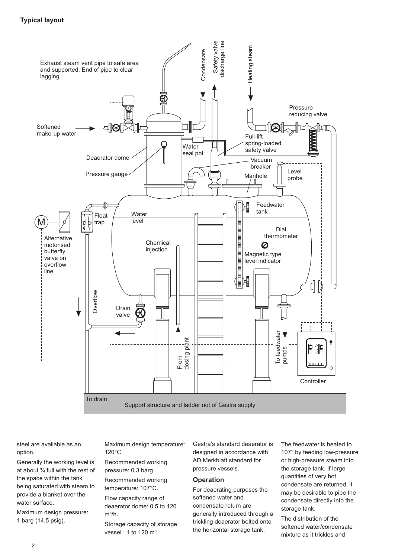

steel are available as an option.

Generally the working level is at about ¾ full with the rest of the space within the tank being saturated with steam to provide a blanket over the water surface.

Maximum design pressure: 1 barg (14.5 psig).

Maximum design temperature: 120°C.

Recommended working pressure: 0.3 barg.

Recommended working temperature: 107°C.

Flow capacity range of deaerator dome: 0.5 to 120

 $m^3/h$ . Storage capacity of storage vessel : 1 to 120  $m^3$ .

Gestra's standard deaerator is designed in accordance with AD Merkblatt standard for pressure vessels.

#### **Operation**

For deaerating purposes the softened water and condensate return are generally introduced through a trickling deaerator bolted onto the horizontal storage tank.

The feedwater is heated to 107° by feeding low-pressure or high-pressure steam into the storage tank. If large quantities of very hot condensate are returned, it may be desirable to pipe the condensate directly into the storage tank.

The distribution of the softened water/condensate mixture as it trickles and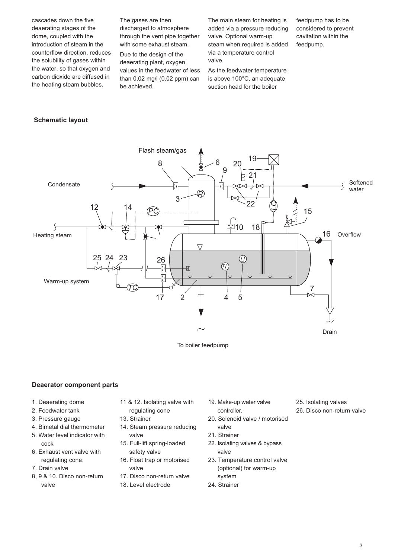cascades down the five deaerating stages of the dome, coupled with the introduction of steam in the counterflow direction, reduces the solubility of gases within the water, so that oxygen and carbon dioxide are diffused in the heating steam bubbles.

The gases are then discharged to atmosphere through the vent pipe together with some exhaust steam.

Due to the design of the deaerating plant, oxygen values in the feedwater of less than 0.02 mg/l (0.02 ppm) can be achieved.

The main steam for heating is added via a pressure reducing valve. Optional warm-up steam when required is added via a temperature control valve.

As the feedwater temperature is above 100°C, an adequate suction head for the boiler

feedpump has to be considered to prevent cavitation within the feedpump.

#### **Schematic layout**



To boiler feedpump

#### **Deaerator component parts**

- 1. Deaerating dome
- 2. Feedwater tank
- 3. Pressure gauge
- 4. Bimetal dial thermometer 5. Water level indicator with cock
- 6. Exhaust vent valve with regulating cone.
- 7. Drain valve
- 8, 9 & 10. Disco non-return valve
- 11 & 12. Isolating valve with regulating cone
- 13. Strainer
- 14. Steam pressure reducing valve
- 15. Full-lift spring-loaded safety valve
- 16. Float trap or motorised valve
- 17. Disco non-return valve
- 18. Level electrode
- 19. Make-up water valve controller.
- 20. Solenoid valve / motorised valve
- 21. Strainer
- 22. Isolating valves & bypass valve
- 23. Temperature control valve (optional) for warm-up system
- 24. Strainer
- 25. Isolating valves
- 26. Disco non-return valve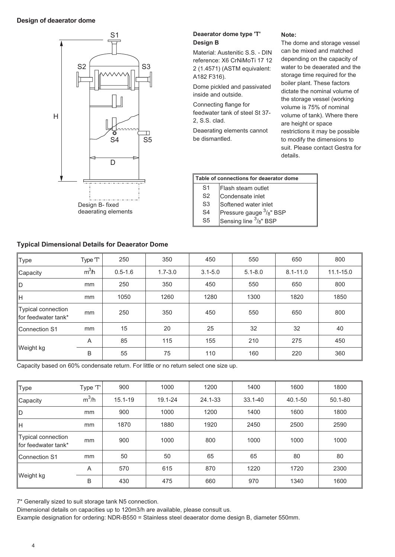#### **Design of deaerator dome**



#### **Typical Dimensional Details for Deaerator Dome**

#### **Deaerator dome type 'T' Design B**

Material: Austenitic S.S. - DIN reference: X6 CrNiMoTi 17 12 2 (1.4571) (ASTM equivalent: A182 F316).

Dome pickled and passivated inside and outside.

Connecting flange for feedwater tank of steel St 37- 2, S.S. clad.

Deaerating elements cannot be dismantled.

#### The dome and storage vessel can be mixed and matched depending on the capacity of water to be deaerated and the storage time required for the boiler plant. These factors dictate the nominal volume of the storage vessel (working volume is 75% of nominal volume of tank). Where there are height or space restrictions it may be possible to modify the dimensions to suit. Please contact Gestra for details.

**Note:**

#### **Table of connections for deaerator dome**

S1 Flash steam outlet

S2 Condensate inlet

S3 Softened water inlet

S4 Pressure gauge <sup>3</sup>/8" BSP

S5 Sensing line  $3/8$ " BSP

| <b>Type</b>                                      | Type T            | 250         | 350         | 450         | 550         | 650          | 800           |
|--------------------------------------------------|-------------------|-------------|-------------|-------------|-------------|--------------|---------------|
| Capacity                                         | m <sup>3</sup> /h | $0.5 - 1.6$ | $1.7 - 3.0$ | $3.1 - 5.0$ | $5.1 - 8.0$ | $8.1 - 11.0$ | $11.1 - 15.0$ |
| ∥D.                                              | mm                | 250         | 350         | 450         | 550         | 650          | 800           |
| ∥H                                               | mm                | 1050        | 1260        | 1280        | 1300        | 1820         | 1850          |
| <b>Typical connection</b><br>for feedwater tank* | mm                | 250         | 350         | 450         | 550         | 650          | 800           |
| Connection S1                                    | mm                | 15          | 20          | 25          | 32          | 32           | 40            |
|                                                  | A                 | 85          | 115         | 155         | 210         | 275          | 450           |
| Weight kg                                        | B                 | 55          | 75          | 110         | 160         | 220          | 360           |

Capacity based on 60% condensate return. For little or no return select one size up.

| Type                                             | Type 'T' | 900         | 1000    | 1200    | 1400        | 1600    | 1800    |
|--------------------------------------------------|----------|-------------|---------|---------|-------------|---------|---------|
| ∥Capacity                                        | $m^3/h$  | $15.1 - 19$ | 19.1-24 | 24.1-33 | $33.1 - 40$ | 40.1-50 | 50.1-80 |
| ∥D                                               | mm       | 900         | 1000    | 1200    | 1400        | 1600    | 1800    |
| ∥H                                               | mm       | 1870        | 1880    | 1920    | 2450        | 2500    | 2590    |
| <b>Typical connection</b><br>for feedwater tank* | mm       | 900         | 1000    | 800     | 1000        | 1000    | 1000    |
| Connection S1                                    | mm       | 50          | 50      | 65      | 65          | 80      | 80      |
|                                                  | A        | 570         | 615     | 870     | 1220        | 1720    | 2300    |
| ∥Weight kg                                       | B        | 430         | 475     | 660     | 970         | 1340    | 1600    |

7\* Generally sized to suit storage tank N5 connection.

Dimensional details on capacities up to 120m3/h are available, please consult us.

Example designation for ordering: NDR-B550 = Stainless steel deaerator dome design B, diameter 550mm.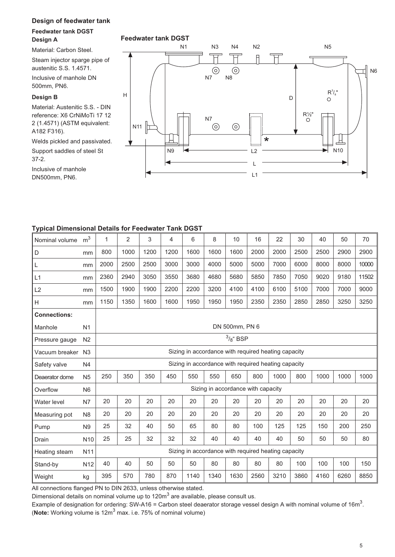#### **Design of feedwater tank**

#### **Feedwater tank DGST Design A**

Material: Carbon Steel.

Steam injector sparge pipe of austenitic S.S. 1.4571.

Inclusive of manhole DN 500mm, PN6.

#### **Design B**

Material: Austenitic S.S. - DIN reference: X6 CrNiMoTi 17 12 2 (1.4571) (ASTM equivalent: A182 F316).

Welds pickled and passivated. Support saddles of steel St 37-2.

Inclusive of manhole DN500mm, PN6.



#### **Typical Dimensional Details for Feedwater Tank DGST**

| Nominal volume      | m <sup>3</sup>  | 1    | 2                                                   | 3    | 4    | 6    | 8    | 10                                 | 16   | 22   | 30   | 40   | 50   | 70    |
|---------------------|-----------------|------|-----------------------------------------------------|------|------|------|------|------------------------------------|------|------|------|------|------|-------|
| D                   | mm              | 800  | 1000                                                | 1200 | 1200 | 1600 | 1600 | 1600                               | 2000 | 2000 | 2500 | 2500 | 2900 | 2900  |
| L                   | mm              | 2000 | 2500                                                | 2500 | 3000 | 3000 | 4000 | 5000                               | 5000 | 7000 | 6000 | 8000 | 8000 | 10000 |
| L1                  | mm              | 2360 | 2940                                                | 3050 | 3550 | 3680 | 4680 | 5680                               | 5850 | 7850 | 7050 | 9020 | 9180 | 11502 |
| L2                  | mm              | 1500 | 1900                                                | 1900 | 2200 | 2200 | 3200 | 4100                               | 4100 | 6100 | 5100 | 7000 | 7000 | 9000  |
| H                   | mm              | 1150 | 1350                                                | 1600 | 1600 | 1950 | 1950 | 1950                               | 2350 | 2350 | 2850 | 2850 | 3250 | 3250  |
| <b>Connections:</b> |                 |      |                                                     |      |      |      |      |                                    |      |      |      |      |      |       |
| Manhole             | N <sub>1</sub>  |      | DN 500mm, PN 6                                      |      |      |      |      |                                    |      |      |      |      |      |       |
| Pressure gauge      | N <sub>2</sub>  |      | $3/8$ " BSP                                         |      |      |      |      |                                    |      |      |      |      |      |       |
| Vacuum breaker N3   |                 |      | Sizing in accordance with required heating capacity |      |      |      |      |                                    |      |      |      |      |      |       |
| Safety valve        | N <sub>4</sub>  |      | Sizing in accordance with required heating capacity |      |      |      |      |                                    |      |      |      |      |      |       |
| Deaerator dome      | N <sub>5</sub>  | 250  | 350                                                 | 350  | 450  | 550  | 550  | 650                                | 800  | 1000 | 800  | 1000 | 1000 | 1000  |
| Overflow            | N <sub>6</sub>  |      |                                                     |      |      |      |      | Sizing in accordance with capacity |      |      |      |      |      |       |
| Water level         | N7              | 20   | 20                                                  | 20   | 20   | 20   | 20   | 20                                 | 20   | 20   | 20   | 20   | 20   | 20    |
| Measuring pot       | N <sub>8</sub>  | 20   | 20                                                  | 20   | 20   | 20   | 20   | 20                                 | 20   | 20   | 20   | 20   | 20   | 20    |
| Pump                | N <sub>9</sub>  | 25   | 32                                                  | 40   | 50   | 65   | 80   | 80                                 | 100  | 125  | 125  | 150  | 200  | 250   |
| Drain               | N <sub>10</sub> | 25   | 25                                                  | 32   | 32   | 32   | 40   | 40                                 | 40   | 40   | 50   | 50   | 50   | 80    |
| Heating steam       | N <sub>11</sub> |      | Sizing in accordance with required heating capacity |      |      |      |      |                                    |      |      |      |      |      |       |
| Stand-by            | N <sub>12</sub> | 40   | 40                                                  | 50   | 50   | 50   | 80   | 80                                 | 80   | 80   | 100  | 100  | 100  | 150   |
| Weight              | kg              | 395  | 570                                                 | 780  | 870  | 1140 | 1340 | 1630                               | 2560 | 3210 | 3860 | 4160 | 6260 | 8850  |

All connections flanged PN to DIN 2633, unless otherwise stated.

Dimensional details on nominal volume up to  $120m<sup>3</sup>$  are available, please consult us.

Example of designation for ordering: SW-A16 = Carbon steel deaerator storage vessel design A with nominal volume of 16m $^3\!$ (**Note:** Working volume is 12m<sup>3</sup> max. i.e. 75% of nominal volume)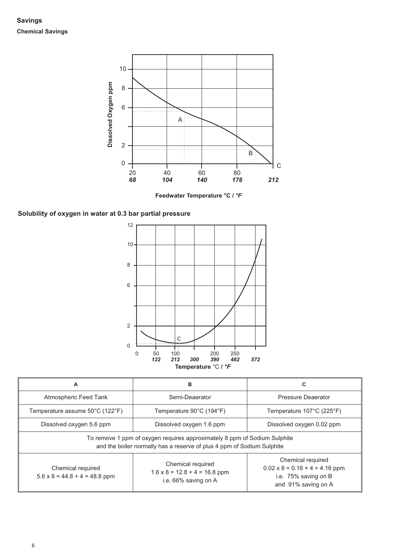**Savings Chemical Savings**



**Feedwater Temperature °C / °F**





| A                                                                                                                                                   | в                                                                                 | C                                                                                                         |  |  |  |  |
|-----------------------------------------------------------------------------------------------------------------------------------------------------|-----------------------------------------------------------------------------------|-----------------------------------------------------------------------------------------------------------|--|--|--|--|
| Atmospheric Feed Tank                                                                                                                               | Semi-Deaerator                                                                    | Pressure Deaerator                                                                                        |  |  |  |  |
| Temperature assume 50°C (122°F)                                                                                                                     | Temperature 90°C (194°F)                                                          | Temperature 107°C (225°F)                                                                                 |  |  |  |  |
| Dissolved oxygen 5.6 ppm                                                                                                                            | Dissolved oxygen 1.6 ppm                                                          | Dissolved oxygen 0.02 ppm                                                                                 |  |  |  |  |
| To remove 1 ppm of oxygen requires approximately 8 ppm of Sodium Sulphite<br>and the boiler normally has a reserve of plus 4 ppm of Sodium Sulphite |                                                                                   |                                                                                                           |  |  |  |  |
| Chemical required<br>$5.6 \times 8 = 44.8 + 4 = 48.8$ ppm                                                                                           | Chemical required<br>$1.6 \times 8 = 12.8 + 4 = 16.8$ ppm<br>i.e. 66% saving on A | Chemical required<br>$0.02 \times 8 = 0.16 + 4 = 4.16$ ppm<br>i.e. 75% saving on B<br>and 91% saving on A |  |  |  |  |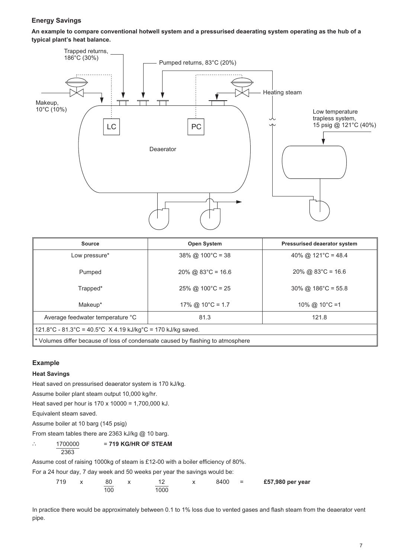#### **Energy Savings**

**An example to compare conventional hotwell system and a pressurised deaerating system operating as the hub of a typical plant's heat balance.**



| <b>Source</b>                                                                   | <b>Open System</b>            | <b>Pressurised deaerator system</b> |  |  |  |  |  |
|---------------------------------------------------------------------------------|-------------------------------|-------------------------------------|--|--|--|--|--|
| Low pressure*                                                                   | $38\%$ @ $100^{\circ}$ C = 38 | 40% @ 121 °C = 48.4                 |  |  |  |  |  |
| Pumped                                                                          | $20\%$ @ 83°C = 16.6          | $20\%$ @ 83 $^{\circ}$ C = 16.6     |  |  |  |  |  |
| Trapped*                                                                        | $25\%$ @ 100°C = 25           | $30\%$ @ 186°C = 55.8               |  |  |  |  |  |
| Makeup*                                                                         | 17% @ 10°C = 1.7              | 10% @ 10 $\degree$ C =1             |  |  |  |  |  |
| Average feedwater temperature °C<br>81.3<br>121.8                               |                               |                                     |  |  |  |  |  |
| 121.8°C - 81.3°C = 40.5°C $\ X 4.19 \ kJ/kg$ °C = 170 kJ/kg saved.              |                               |                                     |  |  |  |  |  |
| * Volumes differ because of loss of condensate caused by flashing to atmosphere |                               |                                     |  |  |  |  |  |

#### **Example**

#### **Heat Savings**

Heat saved on pressurised deaerator system is 170 kJ/kg.

Assume boiler plant steam output 10,000 kg/hr.

Heat saved per hour is 170 x 10000 = 1,700,000 kJ.

Equivalent steam saved.

Assume boiler at 10 barg (145 psig)

From steam tables there are 2363 kJ/kg @ 10 barg.

#### ∴ 1700000 = **719 KG/HR OF STEAM** 2363

Assume cost of raising 1000kg of steam is £12-00 with a boiler efficiency of 80%.

For a 24 hour day, 7 day week and 50 weeks per year the savings would be:

| 719 | 80  |      | 8400 | $=$ | £57,980 per year |
|-----|-----|------|------|-----|------------------|
|     | 100 | 1000 |      |     |                  |

In practice there would be approximately between 0.1 to 1% loss due to vented gases and flash steam from the deaerator vent pipe.